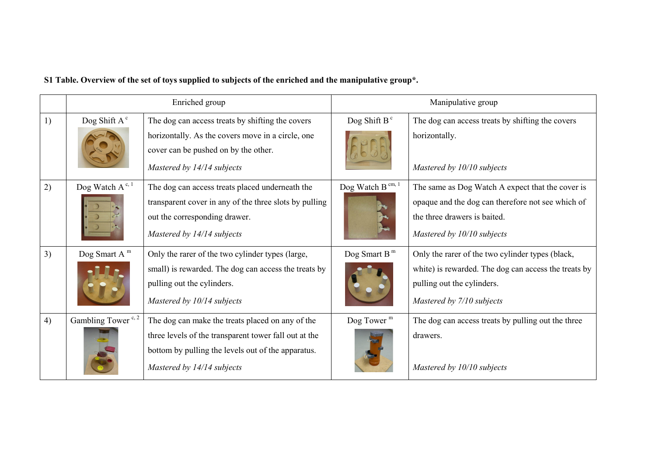|  |  | S1 Table. Overview of the set of toys supplied to subjects of the enriched and the manipulative group*. |
|--|--|---------------------------------------------------------------------------------------------------------|
|--|--|---------------------------------------------------------------------------------------------------------|

|    | Enriched group                 |                                                                                                                                                                                               | Manipulative group       |                                                                                                                                                                     |
|----|--------------------------------|-----------------------------------------------------------------------------------------------------------------------------------------------------------------------------------------------|--------------------------|---------------------------------------------------------------------------------------------------------------------------------------------------------------------|
| 1) | Dog Shift $A^c$                | The dog can access treats by shifting the covers<br>horizontally. As the covers move in a circle, one<br>cover can be pushed on by the other.<br>Mastered by 14/14 subjects                   | Dog Shift B $c$          | The dog can access treats by shifting the covers<br>horizontally.<br>Mastered by 10/10 subjects                                                                     |
| 2) | Dog Watch $A^{c, 1}$           | The dog can access treats placed underneath the<br>transparent cover in any of the three slots by pulling<br>out the corresponding drawer.<br>Mastered by 14/14 subjects                      | Dog Watch B $cm, 1$      | The same as Dog Watch A expect that the cover is<br>opaque and the dog can therefore not see which of<br>the three drawers is baited.<br>Mastered by 10/10 subjects |
| 3) | Dog Smart A $m$                | Only the rarer of the two cylinder types (large,<br>small) is rewarded. The dog can access the treats by<br>pulling out the cylinders.<br>Mastered by 10/14 subjects                          | Dog Smart B <sup>m</sup> | Only the rarer of the two cylinder types (black,<br>white) is rewarded. The dog can access the treats by<br>pulling out the cylinders.<br>Mastered by 7/10 subjects |
| 4) | Gambling Tower <sup>c, 2</sup> | The dog can make the treats placed on any of the<br>three levels of the transparent tower fall out at the<br>bottom by pulling the levels out of the apparatus.<br>Mastered by 14/14 subjects | Dog Tower $m$            | The dog can access treats by pulling out the three<br>drawers.<br>Mastered by 10/10 subjects                                                                        |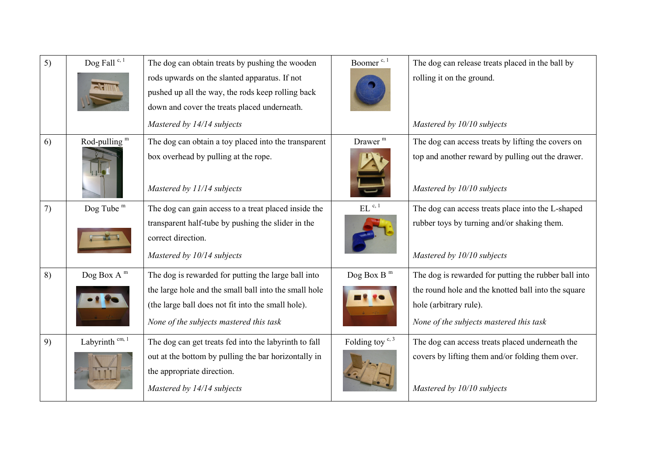| 5) | Dog Fall <sup>c, 1</sup>  | The dog can obtain treats by pushing the wooden<br>rods upwards on the slanted apparatus. If not<br>pushed up all the way, the rods keep rolling back<br>down and cover the treats placed underneath.         | Boomer <sup>c, 1</sup>      | The dog can release treats placed in the ball by<br>rolling it on the ground.                                                                                                    |
|----|---------------------------|---------------------------------------------------------------------------------------------------------------------------------------------------------------------------------------------------------------|-----------------------------|----------------------------------------------------------------------------------------------------------------------------------------------------------------------------------|
|    |                           | Mastered by 14/14 subjects                                                                                                                                                                                    |                             | Mastered by 10/10 subjects                                                                                                                                                       |
| 6) | Rod-pulling $m$           | The dog can obtain a toy placed into the transparent<br>box overhead by pulling at the rope.<br>Mastered by 11/14 subjects                                                                                    | Drawer <sup>m</sup>         | The dog can access treats by lifting the covers on<br>top and another reward by pulling out the drawer.<br>Mastered by 10/10 subjects                                            |
| 7) | Dog Tube $m$              | The dog can gain access to a treat placed inside the<br>transparent half-tube by pushing the slider in the<br>correct direction.<br>Mastered by 10/14 subjects                                                | $EL$ <sup>c, 1</sup>        | The dog can access treats place into the L-shaped<br>rubber toys by turning and/or shaking them.<br>Mastered by 10/10 subjects                                                   |
| 8) | Dog Box A $^{\rm m}$      | The dog is rewarded for putting the large ball into<br>the large hole and the small ball into the small hole<br>(the large ball does not fit into the small hole).<br>None of the subjects mastered this task | Dog Box B <sup>m</sup>      | The dog is rewarded for putting the rubber ball into<br>the round hole and the knotted ball into the square<br>hole (arbitrary rule).<br>None of the subjects mastered this task |
| 9) | Labyrinth $^{\rm cm,\,1}$ | The dog can get treats fed into the labyrinth to fall<br>out at the bottom by pulling the bar horizontally in<br>the appropriate direction.<br>Mastered by 14/14 subjects                                     | Folding toy <sup>c, 3</sup> | The dog can access treats placed underneath the<br>covers by lifting them and/or folding them over.<br>Mastered by 10/10 subjects                                                |